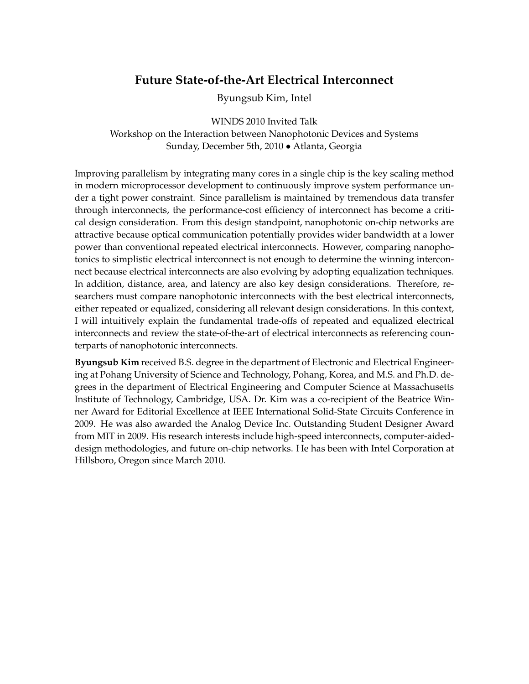# **Future State-of-the-Art Electrical Interconnect**

Byungsub Kim, Intel

WINDS 2010 Invited Talk Workshop on the Interaction between Nanophotonic Devices and Systems Sunday, December 5th, 2010 • Atlanta, Georgia

Improving parallelism by integrating many cores in a single chip is the key scaling method in modern microprocessor development to continuously improve system performance under a tight power constraint. Since parallelism is maintained by tremendous data transfer through interconnects, the performance-cost efficiency of interconnect has become a critical design consideration. From this design standpoint, nanophotonic on-chip networks are attractive because optical communication potentially provides wider bandwidth at a lower power than conventional repeated electrical interconnects. However, comparing nanophotonics to simplistic electrical interconnect is not enough to determine the winning interconnect because electrical interconnects are also evolving by adopting equalization techniques. In addition, distance, area, and latency are also key design considerations. Therefore, researchers must compare nanophotonic interconnects with the best electrical interconnects, either repeated or equalized, considering all relevant design considerations. In this context, I will intuitively explain the fundamental trade-offs of repeated and equalized electrical interconnects and review the state-of-the-art of electrical interconnects as referencing counterparts of nanophotonic interconnects.

**Byungsub Kim** received B.S. degree in the department of Electronic and Electrical Engineering at Pohang University of Science and Technology, Pohang, Korea, and M.S. and Ph.D. degrees in the department of Electrical Engineering and Computer Science at Massachusetts Institute of Technology, Cambridge, USA. Dr. Kim was a co-recipient of the Beatrice Winner Award for Editorial Excellence at IEEE International Solid-State Circuits Conference in 2009. He was also awarded the Analog Device Inc. Outstanding Student Designer Award from MIT in 2009. His research interests include high-speed interconnects, computer-aideddesign methodologies, and future on-chip networks. He has been with Intel Corporation at Hillsboro, Oregon since March 2010.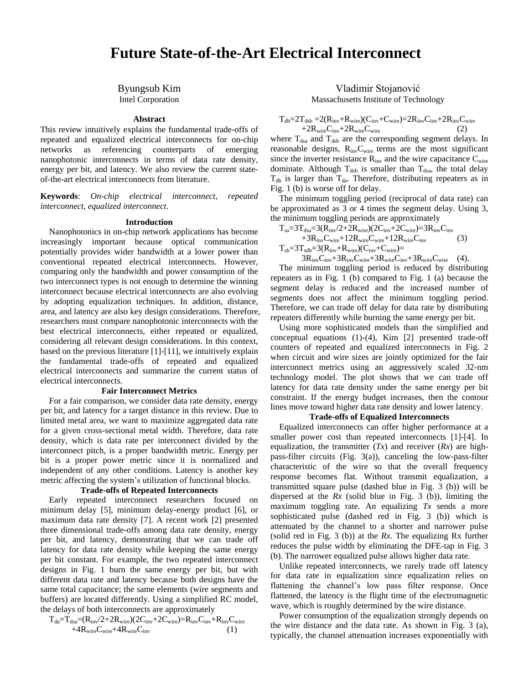# **Future State-of-the-Art Electrical Interconnect**

# Byungsub Kim

Intel Corporation

## **Abstract**

This review intuitively explains the fundamental trade-offs of repeated and equalized electrical interconnects for on-chip networks as referencing counterparts of emerging nanophotonic interconnects in terms of data rate density, energy per bit, and latency. We also review the current stateof-the-art electrical interconnects from literature.

**Keywords**: *On-chip electrical interconnect, repeated interconnect, equalized interconnect*.

#### **Introduction**

Nanophotonics in on-chip network applications has become increasingly important because optical communication potentially provides wider bandwidth at a lower power than conventional repeated electrical interconnects. However, comparing only the bandwidth and power consumption of the two interconnect types is not enough to determine the winning interconnect because electrical interconnects are also evolving by adopting equalization techniques. In addition, distance, area, and latency are also key design considerations. Therefore, researchers must compare nanophotonic interconnects with the best electrical interconnects, either repeated or equalized, considering all relevant design considerations. In this context, based on the previous literature [1]-[11], we intuitively explain the fundamental trade-offs of repeated and equalized electrical interconnects and summarize the current status of electrical interconnects.

#### **Fair Interconnect Metrics**

For a fair comparison, we consider data rate density, energy per bit, and latency for a target distance in this review. Due to limited metal area, we want to maximize aggregated data rate for a given cross-sectional metal width. Therefore, data rate density, which is data rate per interconnect divided by the interconnect pitch, is a proper bandwidth metric. Energy per bit is a proper power metric since it is normalized and independent of any other conditions. Latency is another key metric affecting the system's utilization of functional blocks.

## **Trade-offs of Repeated Interconnects**

Early repeated interconnect researchers focused on minimum delay [5], minimum delay-energy product [6], or maximum data rate density [7]. A recent work [2] presented three dimensional trade-offs among data rate density, energy per bit, and latency, demonstrating that we can trade off latency for data rate density while keeping the same energy per bit constant. For example, the two repeated interconnect designs in Fig. 1 burn the same energy per bit, but with different data rate and latency because both designs have the same total capacitance; the same elements (wire segments and buffers) are located differently. Using a simplified RC model, the delays of both interconnects are approximately

$$
\begin{aligned} T_{da} & = T_{dsa} = (R_{inv}/2 + 2R_{wire}) (2C_{inv} + 2C_{wire}) = R_{inv} C_{inv} + R_{inv} C_{wire} \\ & \quad + 4R_{wire} C_{wire} + 4R_{wire} C_{inv} \end{aligned} \tag{1}
$$

## Vladimir Stojanović

Massachusetts Institute of Technology

$$
T_{db}\text{=}2T_{dsb}\text{=}2(R_{inv}\text{+}R_{wire})(C_{inv}\text{+}C_{wire}\text{)}\text{=}2R_{inv}C_{inv}\text{+}2R_{inv}C_{wire}\text{+}2R_{wire}C_{inv}\text{+}2R_{wire}C_{wire}\text{}
$$
 (2)

where  $T_{dsa}$  and  $T_{dsb}$  are the corresponding segment delays. In reasonable designs, RinvCwire terms are the most significant since the inverter resistance  $R_{inv}$  and the wire capacitance  $C_{wire}$ dominate. Although  $T_{dsb}$  is smaller than  $T_{dsa}$ , the total delay  $T_{db}$  is larger than  $T_{da}$ . Therefore, distributing repeaters as in Fig. 1 (b) is worse off for delay.

The minimum toggling period (reciprocal of data rate) can be approximated as 3 or 4 times the segment delay. Using 3, the minimum toggling periods are approximately

Tsa=3Tdsa=3(Rinv/2+2Rwire)(2Cinv+2Cwire)=3RinvCinv +3RinvCwire+12RwireCwire+12RwireCinv (3) Tsb=3Tsdb=3(Rinv+Rwire)(Cinv+Cwire)= 3RinvCinv+3RinvCwire+3RwireCinv+3RwireCwire (4).

The minimum toggling period is reduced by distributing repeaters as in Fig. 1 (b) compared to Fig. 1 (a) because the segment delay is reduced and the increased number of segments does not affect the minimum toggling period. Therefore, we can trade off delay for data rate by distributing repeaters differently while burning the same energy per bit.

Using more sophisticated models than the simplified and conceptual equations (1)-(4), Kim [2] presented trade-off counters of repeated and equalized interconnects in Fig. 2 when circuit and wire sizes are jointly optimized for the fair interconnect metrics using an aggressively scaled 32-nm technology model. The plot shows that we can trade off latency for data rate density under the same energy per bit constraint. If the energy budget increases, then the contour lines move toward higher data rate density and lower latency.

#### **Trade-offs of Equalized Interconnects**

Equalized interconnects can offer higher performance at a smaller power cost than repeated interconnects [1]-[4]. In equalization, the transmitter  $(Tx)$  and receiver  $(Rx)$  are highpass-filter circuits (Fig. 3(a)), canceling the low-pass-filter characteristic of the wire so that the overall frequency response becomes flat. Without transmit equalization, a transmitted square pulse (dashed blue in Fig. 3 (b)) will be dispersed at the *Rx* (solid blue in Fig. 3 (b)), limiting the maximum toggling rate. An equalizing *Tx* sends a more sophisticated pulse (dashed red in Fig. 3 (b)) which is attenuated by the channel to a shorter and narrower pulse (solid red in Fig. 3 (b)) at the *Rx*. The equalizing Rx further reduces the pulse width by eliminating the DFE-tap in Fig. 3 (b). The narrower equalized pulse allows higher data rate.

Unlike repeated interconnects, we rarely trade off latency for data rate in equalization since equalization relies on flattening the channel's low pass filter response. Once flattened, the latency is the flight time of the electromagnetic wave, which is roughly determined by the wire distance.

Power consumption of the equalization strongly depends on the wire distance and the data rate. As shown in Fig. 3 (a), typically, the channel attenuation increases exponentially with